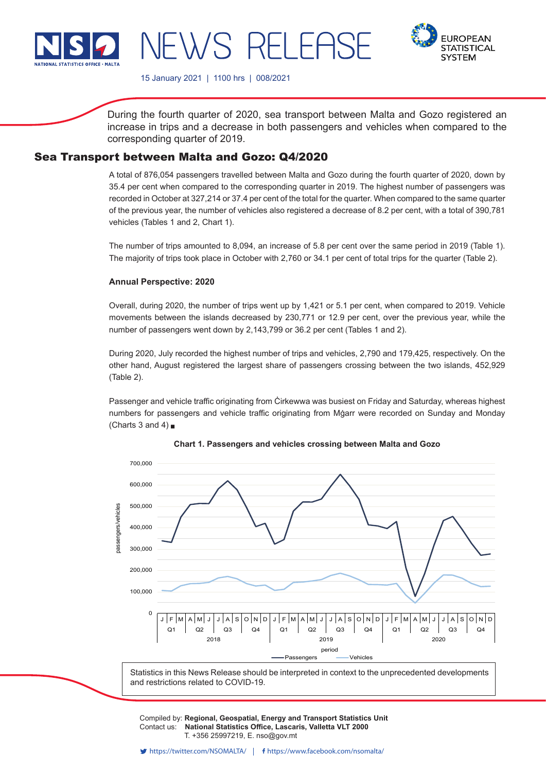

**EUROPEAN STATISTICAL SYSTEM** 

15 January 2021 | 1100 hrs | 008/2021

NEWS RELEAS

During the fourth quarter of 2020, sea transport between Malta and Gozo registered an increase in trips and a decrease in both passengers and vehicles when compared to the corresponding quarter of 2019.

# Sea Transport between Malta and Gozo: Q4/2020

A total of 876,054 passengers travelled between Malta and Gozo during the fourth quarter of 2020, down by 35.4 per cent when compared to the corresponding quarter in 2019. The highest number of passengers was recorded in October at 327,214 or 37.4 per cent of the total for the quarter. When compared to the same quarter of the previous year, the number of vehicles also registered a decrease of 8.2 per cent, with a total of 390,781 vehicles (Tables 1 and 2, Chart 1).

The number of trips amounted to 8,094, an increase of 5.8 per cent over the same period in 2019 (Table 1). The majority of trips took place in October with 2,760 or 34.1 per cent of total trips for the quarter (Table 2).

### **Annual Perspective: 2020**

Overall, during 2020, the number of trips went up by 1,421 or 5.1 per cent, when compared to 2019. Vehicle movements between the islands decreased by 230,771 or 12.9 per cent, over the previous year, while the number of passengers went down by 2,143,799 or 36.2 per cent (Tables 1 and 2).

During 2020, July recorded the highest number of trips and vehicles, 2,790 and 179,425, respectively. On the other hand, August registered the largest share of passengers crossing between the two islands, 452,929 (Table 2).

Passenger and vehicle traffic originating from Ċirkewwa was busiest on Friday and Saturday, whereas highest numbers for passengers and vehicle traffic originating from Mġarr were recorded on Sunday and Monday (Charts 3 and 4)  $\blacksquare$ 





Compiled by: **Regional, Geospatial, Energy and Transport Statistics Unit**<br>Contest use. **Notional Statistics Office, Legessie, Vallatte VLT 2000** Contact us: National Statistics Office, Lascaris, Valletta VLT 2000 Issued by: **Dissemination Unit, National Statistics Office, Lascaris, Valletta VLT 2000, Malta.** T. +356 25997219, E. nso@gov.mt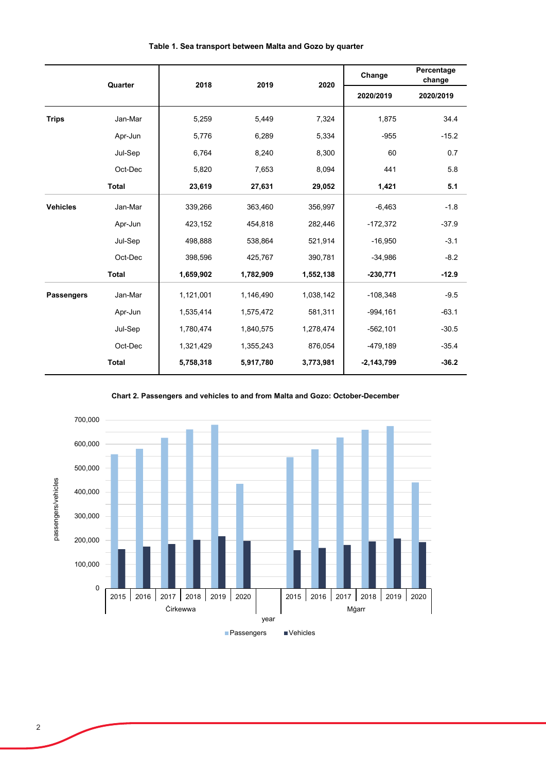|                   | Quarter      | 2018      | 2019      | 2020      | Change       | Percentage<br>change |
|-------------------|--------------|-----------|-----------|-----------|--------------|----------------------|
|                   |              |           |           |           | 2020/2019    | 2020/2019            |
| <b>Trips</b>      | Jan-Mar      | 5,259     | 5,449     | 7,324     | 1,875        | 34.4                 |
|                   | Apr-Jun      | 5,776     | 6,289     | 5,334     | $-955$       | $-15.2$              |
|                   | Jul-Sep      | 6,764     | 8,240     | 8,300     | 60           | 0.7                  |
|                   | Oct-Dec      | 5,820     | 7,653     | 8,094     | 441          | 5.8                  |
|                   | <b>Total</b> | 23,619    | 27,631    | 29,052    | 1,421        | 5.1                  |
| <b>Vehicles</b>   | Jan-Mar      | 339,266   | 363,460   | 356,997   | $-6,463$     | $-1.8$               |
|                   | Apr-Jun      | 423,152   | 454,818   | 282,446   | $-172,372$   | $-37.9$              |
|                   | Jul-Sep      | 498,888   | 538,864   | 521,914   | $-16,950$    | $-3.1$               |
|                   | Oct-Dec      | 398,596   | 425,767   | 390,781   | $-34,986$    | $-8.2$               |
|                   | <b>Total</b> | 1,659,902 | 1,782,909 | 1,552,138 | $-230,771$   | $-12.9$              |
| <b>Passengers</b> | Jan-Mar      | 1,121,001 | 1,146,490 | 1,038,142 | $-108,348$   | $-9.5$               |
|                   | Apr-Jun      | 1,535,414 | 1,575,472 | 581,311   | $-994,161$   | $-63.1$              |
|                   | Jul-Sep      | 1,780,474 | 1,840,575 | 1,278,474 | $-562,101$   | $-30.5$              |
|                   | Oct-Dec      | 1,321,429 | 1,355,243 | 876,054   | -479,189     | $-35.4$              |
|                   | <b>Total</b> | 5,758,318 | 5,917,780 | 3,773,981 | $-2,143,799$ | $-36.2$              |

## **Table 1. Sea transport between Malta and Gozo by quarter**

**Chart 2. Passengers and vehicles to and from Malta and Gozo: October-December**

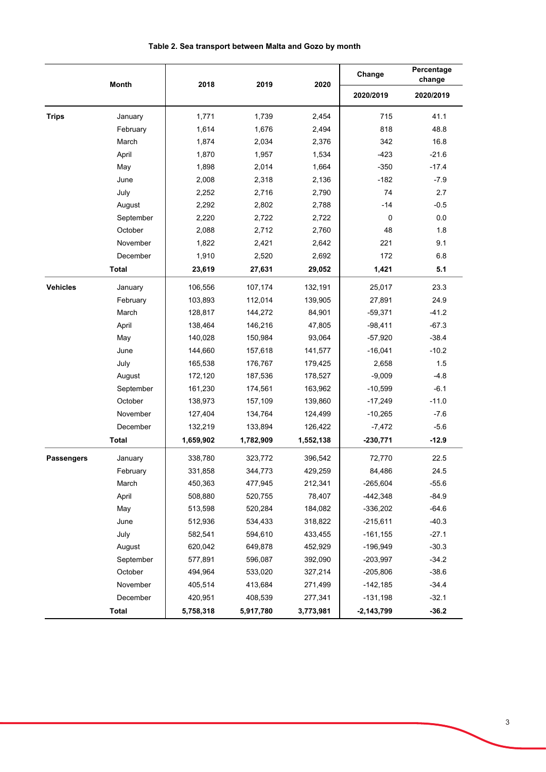## **Table 2. Sea transport between Malta and Gozo by month**

|                   | <b>Month</b> | 2018      | 2019      | 2020      | Change       | Percentage<br>change |
|-------------------|--------------|-----------|-----------|-----------|--------------|----------------------|
|                   |              |           |           |           | 2020/2019    | 2020/2019            |
| <b>Trips</b>      | January      | 1,771     | 1,739     | 2,454     | 715          | 41.1                 |
|                   | February     | 1,614     | 1,676     | 2,494     | 818          | 48.8                 |
|                   | March        | 1,874     | 2,034     | 2,376     | 342          | 16.8                 |
|                   | April        | 1,870     | 1,957     | 1,534     | $-423$       | $-21.6$              |
|                   | May          | 1,898     | 2,014     | 1,664     | $-350$       | $-17.4$              |
|                   | June         | 2,008     | 2,318     | 2,136     | $-182$       | $-7.9$               |
|                   | July         | 2,252     | 2,716     | 2,790     | 74           | 2.7                  |
|                   | August       | 2,292     | 2,802     | 2,788     | -14          | $-0.5$               |
|                   | September    | 2,220     | 2,722     | 2,722     | 0            | 0.0                  |
|                   | October      | 2,088     | 2,712     | 2,760     | 48           | 1.8                  |
|                   | November     | 1,822     | 2,421     | 2,642     | 221          | 9.1                  |
|                   | December     | 1,910     | 2,520     | 2,692     | 172          | 6.8                  |
|                   | <b>Total</b> | 23,619    | 27,631    | 29,052    | 1,421        | 5.1                  |
| <b>Vehicles</b>   | January      | 106,556   | 107,174   | 132,191   | 25,017       | 23.3                 |
|                   | February     | 103,893   | 112,014   | 139,905   | 27,891       | 24.9                 |
|                   | March        | 128,817   | 144,272   | 84,901    | $-59,371$    | $-41.2$              |
|                   | April        | 138,464   | 146,216   | 47,805    | $-98,411$    | $-67.3$              |
|                   | May          | 140,028   | 150,984   | 93,064    | $-57,920$    | $-38.4$              |
|                   | June         | 144,660   | 157,618   | 141,577   | $-16,041$    | $-10.2$              |
|                   | July         | 165,538   | 176,767   | 179,425   | 2,658        | 1.5                  |
|                   | August       | 172,120   | 187,536   | 178,527   | $-9,009$     | $-4.8$               |
|                   | September    | 161,230   | 174,561   | 163,962   | $-10,599$    | $-6.1$               |
|                   | October      | 138,973   | 157,109   | 139,860   | $-17,249$    | $-11.0$              |
|                   | November     | 127,404   | 134,764   | 124,499   | $-10,265$    | $-7.6$               |
|                   | December     | 132,219   | 133,894   | 126,422   | $-7,472$     | $-5.6$               |
|                   | <b>Total</b> | 1,659,902 | 1,782,909 | 1,552,138 | $-230,771$   | $-12.9$              |
| <b>Passengers</b> | January      | 338,780   | 323,772   | 396,542   | 72,770       | 22.5                 |
|                   | February     | 331,858   | 344,773   | 429,259   | 84,486       | 24.5                 |
|                   | March        | 450,363   | 477,945   | 212,341   | $-265,604$   | $-55.6$              |
|                   | April        | 508,880   | 520,755   | 78,407    | $-442,348$   | $-84.9$              |
|                   | May          | 513,598   | 520,284   | 184,082   | $-336,202$   | $-64.6$              |
|                   | June         | 512,936   | 534,433   | 318,822   | $-215,611$   | $-40.3$              |
|                   | July         | 582,541   | 594,610   | 433,455   | $-161, 155$  | $-27.1$              |
|                   | August       | 620,042   | 649,878   | 452,929   | $-196,949$   | $-30.3$              |
|                   | September    | 577,891   | 596,087   | 392,090   | $-203,997$   | $-34.2$              |
|                   | October      | 494,964   | 533,020   | 327,214   | $-205,806$   | $-38.6$              |
|                   | November     | 405,514   | 413,684   | 271,499   | $-142,185$   | $-34.4$              |
|                   | December     | 420,951   | 408,539   | 277,341   | $-131,198$   | $-32.1$              |
|                   | <b>Total</b> | 5,758,318 | 5,917,780 | 3,773,981 | $-2,143,799$ | $-36.2$              |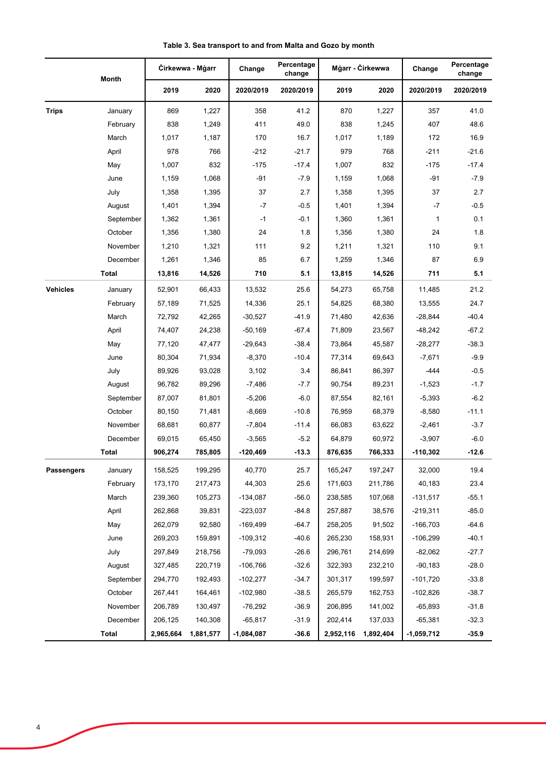|                 | Month        | Cirkewwa - Mgarr |           | Change       | Percentage<br>change | Mgarr - Cirkewwa |           | Change       | Percentage<br>change |
|-----------------|--------------|------------------|-----------|--------------|----------------------|------------------|-----------|--------------|----------------------|
|                 |              | 2019             | 2020      | 2020/2019    | 2020/2019            | 2019             | 2020      | 2020/2019    | 2020/2019            |
| <b>Trips</b>    | January      | 869              | 1,227     | 358          | 41.2                 | 870              | 1,227     | 357          | 41.0                 |
|                 | February     | 838              | 1,249     | 411          | 49.0                 | 838              | 1,245     | 407          | 48.6                 |
|                 | March        | 1,017            | 1,187     | 170          | 16.7                 | 1,017            | 1,189     | 172          | 16.9                 |
|                 | April        | 978              | 766       | $-212$       | $-21.7$              | 979              | 768       | $-211$       | $-21.6$              |
|                 | May          | 1,007            | 832       | $-175$       | $-17.4$              | 1,007            | 832       | $-175$       | $-17.4$              |
|                 | June         | 1,159            | 1,068     | $-91$        | $-7.9$               | 1,159            | 1,068     | $-91$        | $-7.9$               |
|                 | July         | 1,358            | 1,395     | 37           | 2.7                  | 1,358            | 1,395     | 37           | 2.7                  |
|                 | August       | 1,401            | 1,394     | $-7$         | $-0.5$               | 1,401            | 1,394     | $-7$         | $-0.5$               |
|                 | September    | 1,362            | 1,361     | $-1$         | $-0.1$               | 1,360            | 1,361     | $\mathbf{1}$ | 0.1                  |
|                 | October      | 1,356            | 1,380     | 24           | 1.8                  | 1,356            | 1,380     | 24           | 1.8                  |
|                 | November     | 1,210            | 1,321     | 111          | 9.2                  | 1,211            | 1,321     | 110          | 9.1                  |
|                 | December     | 1,261            | 1,346     | 85           | 6.7                  | 1,259            | 1,346     | 87           | 6.9                  |
|                 | Total        | 13,816           | 14,526    | 710          | 5.1                  | 13,815           | 14,526    | 711          | 5.1                  |
| <b>Vehicles</b> | January      | 52,901           | 66,433    | 13,532       | 25.6                 | 54,273           | 65,758    | 11,485       | 21.2                 |
|                 | February     | 57,189           | 71,525    | 14,336       | 25.1                 | 54,825           | 68,380    | 13,555       | 24.7                 |
|                 | March        | 72,792           | 42,265    | $-30,527$    | $-41.9$              | 71,480           | 42,636    | $-28,844$    | $-40.4$              |
|                 | April        | 74,407           | 24,238    | $-50,169$    | $-67.4$              | 71,809           | 23,567    | -48,242      | $-67.2$              |
|                 | May          | 77,120           | 47,477    | $-29,643$    | $-38.4$              | 73,864           | 45,587    | $-28,277$    | $-38.3$              |
|                 | June         | 80,304           | 71,934    | $-8,370$     | $-10.4$              | 77,314           | 69,643    | $-7,671$     | $-9.9$               |
|                 | July         | 89,926           | 93,028    | 3,102        | 3.4                  | 86,841           | 86,397    | -444         | $-0.5$               |
|                 | August       | 96,782           | 89,296    | $-7,486$     | $-7.7$               | 90,754           | 89,231    | $-1,523$     | $-1.7$               |
|                 | September    | 87,007           | 81,801    | $-5,206$     | $-6.0$               | 87,554           | 82,161    | $-5,393$     | $-6.2$               |
|                 | October      | 80,150           | 71,481    | $-8,669$     | $-10.8$              | 76,959           | 68,379    | $-8,580$     | $-11.1$              |
|                 | November     | 68,681           | 60,877    | $-7,804$     | $-11.4$              | 66,083           | 63,622    | $-2,461$     | $-3.7$               |
|                 | December     | 69,015           | 65,450    | $-3,565$     | $-5.2$               | 64,879           | 60,972    | $-3,907$     | $-6.0$               |
|                 | Total        | 906,274          | 785,805   | $-120,469$   | $-13.3$              | 876,635          | 766,333   | $-110,302$   | $-12.6$              |
| Passengers      | January      | 158,525          | 199,295   | 40,770       | 25.7                 | 165,247          | 197,247   | 32,000       | 19.4                 |
|                 | February     | 173,170          | 217,473   | 44,303       | 25.6                 | 171,603          | 211,786   | 40,183       | 23.4                 |
|                 | March        | 239,360          | 105,273   | $-134,087$   | $-56.0$              | 238,585          | 107,068   | $-131,517$   | $-55.1$              |
|                 | April        | 262,868          | 39,831    | $-223,037$   | $-84.8$              | 257,887          | 38,576    | $-219,311$   | $-85.0$              |
|                 | May          | 262,079          | 92,580    | -169,499     | $-64.7$              | 258,205          | 91,502    | $-166,703$   | $-64.6$              |
|                 | June         | 269,203          | 159,891   | $-109,312$   | $-40.6$              | 265,230          | 158,931   | $-106,299$   | $-40.1$              |
|                 | July         | 297,849          | 218,756   | $-79,093$    | $-26.6$              | 296,761          | 214,699   | $-82,062$    | $-27.7$              |
|                 | August       | 327,485          | 220,719   | $-106,766$   | $-32.6$              | 322,393          | 232,210   | $-90,183$    | $-28.0$              |
|                 | September    | 294,770          | 192,493   | $-102,277$   | $-34.7$              | 301,317          | 199,597   | $-101,720$   | $-33.8$              |
|                 | October      | 267,441          | 164,461   | $-102,980$   | $-38.5$              | 265,579          | 162,753   | $-102,826$   | $-38.7$              |
|                 | November     | 206,789          | 130,497   | $-76,292$    | $-36.9$              | 206,895          | 141,002   | $-65,893$    | $-31.8$              |
|                 | December     | 206,125          | 140,308   | $-65,817$    | $-31.9$              | 202,414          | 137,033   | $-65,381$    | $-32.3$              |
|                 | <b>Total</b> | 2,965,664        | 1,881,577 | $-1,084,087$ | $-36.6$              | 2,952,116        | 1,892,404 | $-1,059,712$ | $-35.9$              |

**Table 3. Sea transport to and from Malta and Gozo by month**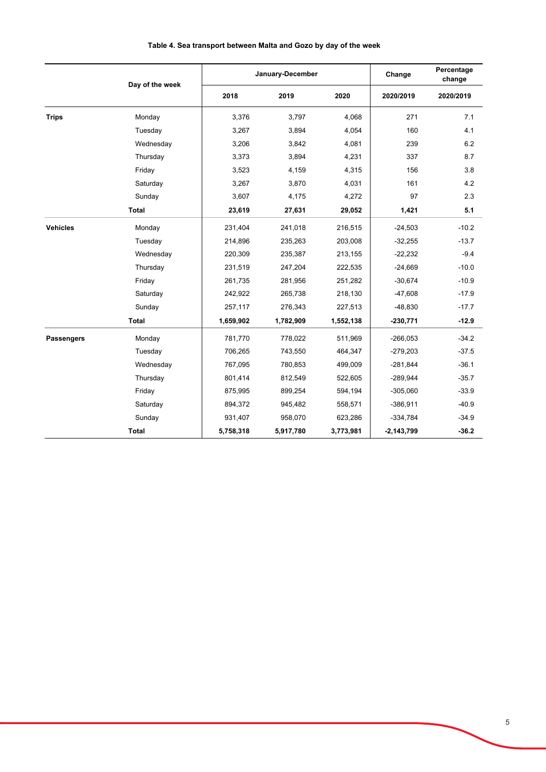|                   | Day of the week |           | January-December | Change    | Percentage<br>change |           |
|-------------------|-----------------|-----------|------------------|-----------|----------------------|-----------|
|                   |                 | 2018      | 2019             | 2020      | 2020/2019            | 2020/2019 |
| <b>Trips</b>      | Monday          | 3,376     | 3.797            | 4.068     | 271                  | 7.1       |
|                   | Tuesday         | 3,267     | 3,894            | 4,054     | 160                  | 4.1       |
|                   | Wednesday       | 3,206     | 3,842            | 4,081     | 239                  | 6.2       |
|                   | Thursday        | 3,373     | 3,894            | 4,231     | 337                  | 8.7       |
|                   | Friday          | 3,523     | 4,159            | 4,315     | 156                  | 3.8       |
|                   | Saturday        | 3,267     | 3,870            | 4,031     | 161                  | 4.2       |
|                   | Sunday          | 3,607     | 4,175            | 4,272     | 97                   | 2.3       |
|                   | <b>Total</b>    | 23,619    | 27,631           | 29,052    | 1,421                | 5.1       |
| <b>Vehicles</b>   | Monday          | 231,404   | 241,018          | 216,515   | $-24,503$            | $-10.2$   |
|                   | Tuesday         | 214,896   | 235,263          | 203,008   | $-32,255$            | $-13.7$   |
|                   | Wednesday       | 220,309   | 235,387          | 213,155   | $-22,232$            | $-9.4$    |
|                   | Thursday        | 231,519   | 247,204          | 222,535   | $-24,669$            | $-10.0$   |
|                   | Friday          | 261,735   | 281,956          | 251,282   | $-30,674$            | $-10.9$   |
|                   | Saturday        | 242,922   | 265,738          | 218,130   | $-47,608$            | $-17.9$   |
|                   | Sunday          | 257,117   | 276,343          | 227,513   | $-48,830$            | $-17.7$   |
|                   | <b>Total</b>    | 1,659,902 | 1,782,909        | 1,552,138 | $-230,771$           | $-12.9$   |
| <b>Passengers</b> | Monday          | 781,770   | 778,022          | 511,969   | $-266,053$           | $-34.2$   |
|                   | Tuesday         | 706,265   | 743,550          | 464,347   | $-279,203$           | $-37.5$   |
|                   | Wednesday       | 767,095   | 780,853          | 499,009   | $-281,844$           | $-36.1$   |
|                   | Thursday        | 801,414   | 812,549          | 522,605   | $-289,944$           | $-35.7$   |
|                   | Friday          | 875,995   | 899,254          | 594,194   | $-305,060$           | $-33.9$   |
|                   | Saturday        | 894,372   | 945,482          | 558,571   | $-386,911$           | $-40.9$   |
|                   | Sunday          | 931,407   | 958,070          | 623,286   | $-334,784$           | $-34.9$   |
| <b>Total</b>      |                 | 5,758,318 | 5,917,780        | 3,773,981 | $-2,143,799$         | $-36.2$   |

## **Table 4. Sea transport between Malta and Gozo by day of the week**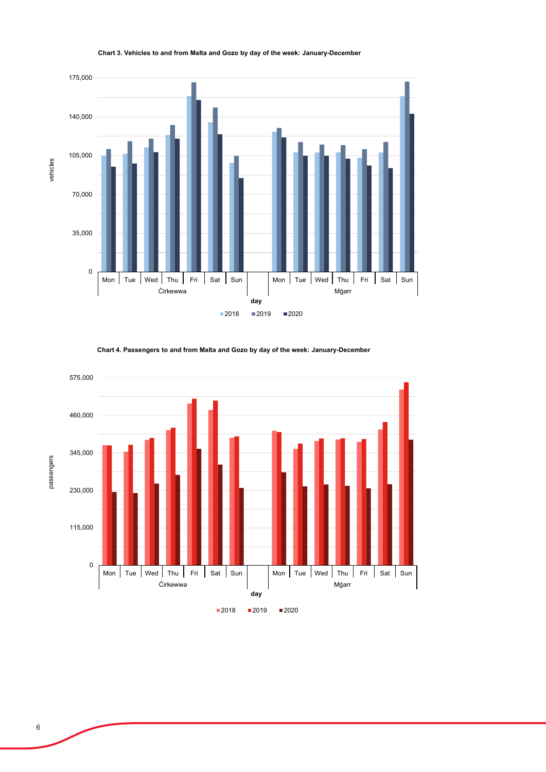

#### **Chart 3. Vehicles to and from Malta and Gozo by day of the week: January-December**

**Chart 4. Passengers to and from Malta and Gozo by day of the week: January-December**